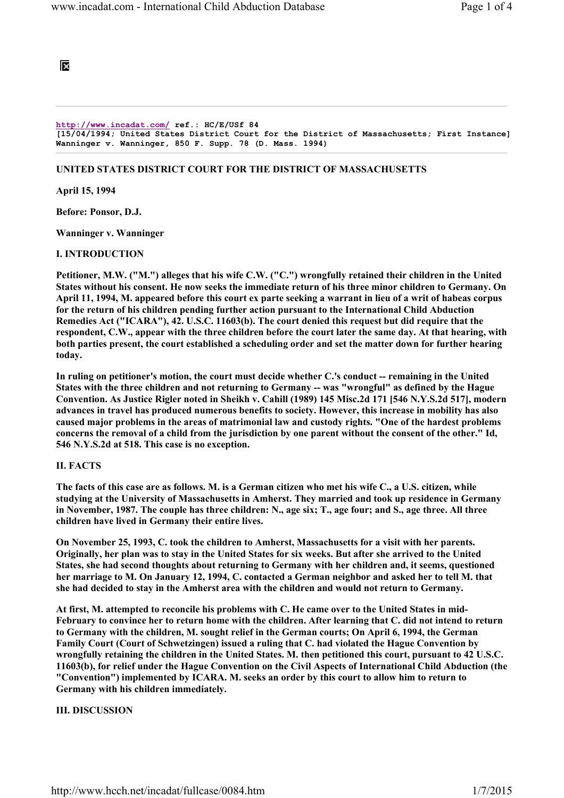

http://www.incadat.com/ ref.: HC/E/USf 84 [15/04/1994; United States District Court for the District of Massachusetts; First Instance] Wanninger v. Wanninger, 850 F. Supp. 78 (D. Mass. 1994)

# UNITED STATES DISTRICT COURT FOR THE DISTRICT OF MASSACHUSETTS

April 15, 1994

Before: Ponsor, D.J.

Wanninger v. Wanninger

# I. INTRODUCTION

Petitioner, M.W. ("M.") alleges that his wife C.W. ("C.") wrongfully retained their children in the United States without his consent. He now seeks the immediate return of his three minor children to Germany. On April 11, 1994, M. appeared before this court ex parte seeking a warrant in lieu of a writ of habeas corpus for the return of his children pending further action pursuant to the International Child Abduction Remedies Act ("ICARA"), 42. U.S.C. 11603(b). The court denied this request but did require that the respondent, C.W., appear with the three children before the court later the same day. At that hearing, with both parties present, the court established a scheduling order and set the matter down for further hearing today.

In ruling on petitioner's motion, the court must decide whether C.'s conduct -- remaining in the United States with the three children and not returning to Germany -- was "wrongful" as defined by the Hague Convention. As Justice Rigler noted in Sheikh v. Cahill (1989) 145 Misc.2d 171 [546 N.Y.S.2d 517], modern advances in travel has produced numerous benefits to society. However, this increase in mobility has also caused major problems in the areas of matrimonial law and custody rights. "One of the hardest problems concerns the removal of a child from the jurisdiction by one parent without the consent of the other." Id, 546 N.Y.S.2d at 518. This case is no exception.

### II. FACTS

The facts of this case are as follows. M. is a German citizen who met his wife C., a U.S. citizen, while studying at the University of Massachusetts in Amherst. They married and took up residence in Germany in November, 1987. The couple has three children: N., age six; T., age four; and S., age three. All three children have lived in Germany their entire lives.

On November 25, 1993, C. took the children to Amherst, Massachusetts for a visit with her parents. Originally, her plan was to stay in the United States for six weeks. But after she arrived to the United States, she had second thoughts about returning to Germany with her children and, it seems, questioned her marriage to M. On January 12, 1994, C. contacted a German neighbor and asked her to tell M. that she had decided to stay in the Amherst area with the children and would not return to Germany.

At first, M. attempted to reconcile his problems with C. He came over to the United States in mid-February to convince her to return home with the children. After learning that C. did not intend to return to Germany with the children, M. sought relief in the German courts; On April 6, 1994, the German Family Court (Court of Schwetzingen) issued a ruling that C. had violated the Hague Convention by wrongfully retaining the children in the United States. M. then petitioned this court, pursuant to 42 U.S.C. 11603(b), for relief under the Hague Convention on the Civil Aspects of International Child Abduction (the "Convention") implemented by ICARA. M. seeks an order by this court to allow him to return to Germany with his children immediately.

# III. DISCUSSION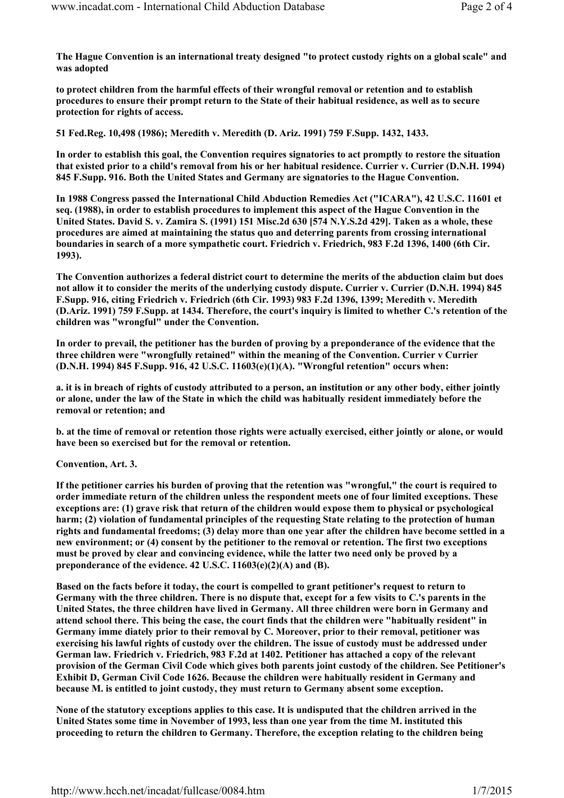The Hague Convention is an international treaty designed "to protect custody rights on a global scale" and was adopted

to protect children from the harmful effects of their wrongful removal or retention and to establish procedures to ensure their prompt return to the State of their habitual residence, as well as to secure protection for rights of access.

51 Fed.Reg. 10,498 (1986); Meredith v. Meredith (D. Ariz. 1991) 759 F.Supp. 1432, 1433.

In order to establish this goal, the Convention requires signatories to act promptly to restore the situation that existed prior to a child's removal from his or her habitual residence. Currier v. Currier (D.N.H. 1994) 845 F.Supp. 916. Both the United States and Germany are signatories to the Hague Convention.

In 1988 Congress passed the International Child Abduction Remedies Act ("ICARA"), 42 U.S.C. 11601 et seq. (1988), in order to establish procedures to implement this aspect of the Hague Convention in the United States. David S. v. Zamira S. (1991) 151 Misc.2d 630 [574 N.Y.S.2d 429]. Taken as a whole, these procedures are aimed at maintaining the status quo and deterring parents from crossing international boundaries in search of a more sympathetic court. Friedrich v. Friedrich, 983 F.2d 1396, 1400 (6th Cir. 1993).

The Convention authorizes a federal district court to determine the merits of the abduction claim but does not allow it to consider the merits of the underlying custody dispute. Currier v. Currier (D.N.H. 1994) 845 F.Supp. 916, citing Friedrich v. Friedrich (6th Cir. 1993) 983 F.2d 1396, 1399; Meredith v. Meredith (D.Ariz. 1991) 759 F.Supp. at 1434. Therefore, the court's inquiry is limited to whether C.'s retention of the children was "wrongful" under the Convention.

In order to prevail, the petitioner has the burden of proving by a preponderance of the evidence that the three children were "wrongfully retained" within the meaning of the Convention. Currier v Currier (D.N.H. 1994) 845 F.Supp. 916, 42 U.S.C. 11603(e)(1)(A). "Wrongful retention" occurs when:

a. it is in breach of rights of custody attributed to a person, an institution or any other body, either jointly or alone, under the law of the State in which the child was habitually resident immediately before the removal or retention; and

b. at the time of removal or retention those rights were actually exercised, either jointly or alone, or would have been so exercised but for the removal or retention.

### Convention, Art. 3.

If the petitioner carries his burden of proving that the retention was "wrongful," the court is required to order immediate return of the children unless the respondent meets one of four limited exceptions. These exceptions are: (1) grave risk that return of the children would expose them to physical or psychological harm; (2) violation of fundamental principles of the requesting State relating to the protection of human rights and fundamental freedoms; (3) delay more than one year after the children have become settled in a new environment; or (4) consent by the petitioner to the removal or retention. The first two exceptions must be proved by clear and convincing evidence, while the latter two need only be proved by a preponderance of the evidence. 42 U.S.C. 11603(e)(2)(A) and (B).

Based on the facts before it today, the court is compelled to grant petitioner's request to return to Germany with the three children. There is no dispute that, except for a few visits to C.'s parents in the United States, the three children have lived in Germany. All three children were born in Germany and attend school there. This being the case, the court finds that the children were "habitually resident" in Germany imme diately prior to their removal by C. Moreover, prior to their removal, petitioner was exercising his lawful rights of custody over the children. The issue of custody must be addressed under German law. Friedrich v. Friedrich, 983 F.2d at 1402. Petitioner has attached a copy of the relevant provision of the German Civil Code which gives both parents joint custody of the children. See Petitioner's Exhibit D, German Civil Code 1626. Because the children were habitually resident in Germany and because M. is entitled to joint custody, they must return to Germany absent some exception.

None of the statutory exceptions applies to this case. It is undisputed that the children arrived in the United States some time in November of 1993, less than one year from the time M. instituted this proceeding to return the children to Germany. Therefore, the exception relating to the children being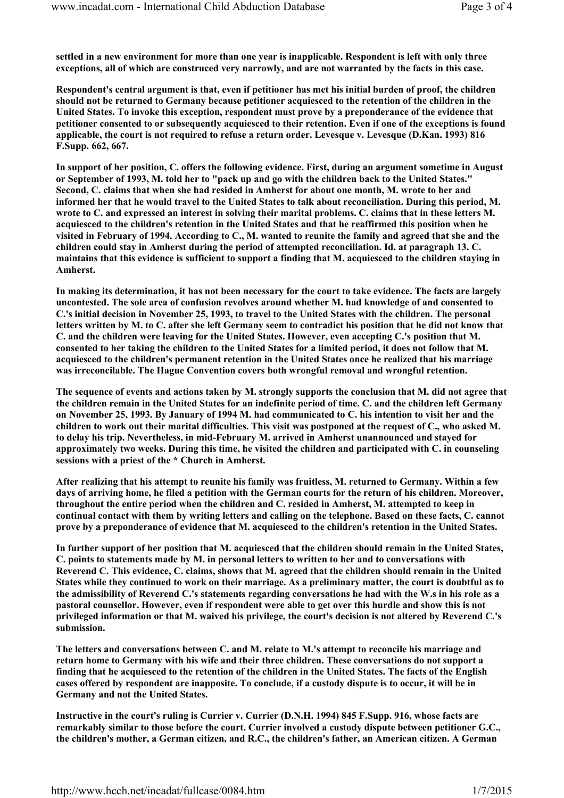settled in a new environment for more than one year is inapplicable. Respondent is left with only three exceptions, all of which are construced very narrowly, and are not warranted by the facts in this case.

Respondent's central argument is that, even if petitioner has met his initial burden of proof, the children should not be returned to Germany because petitioner acquiesced to the retention of the children in the United States. To invoke this exception, respondent must prove by a preponderance of the evidence that petitioner consented to or subsequently acquiesced to their retention. Even if one of the exceptions is found applicable, the court is not required to refuse a return order. Levesque v. Levesque (D.Kan. 1993) 816 F.Supp. 662, 667.

In support of her position, C. offers the following evidence. First, during an argument sometime in August or September of 1993, M. told her to "pack up and go with the children back to the United States." Second, C. claims that when she had resided in Amherst for about one month, M. wrote to her and informed her that he would travel to the United States to talk about reconciliation. During this period, M. wrote to C. and expressed an interest in solving their marital problems. C. claims that in these letters M. acquiesced to the children's retention in the United States and that he reaffirmed this position when he visited in February of 1994. According to C., M. wanted to reunite the family and agreed that she and the children could stay in Amherst during the period of attempted reconciliation. Id. at paragraph 13. C. maintains that this evidence is sufficient to support a finding that M. acquiesced to the children staying in Amherst.

In making its determination, it has not been necessary for the court to take evidence. The facts are largely uncontested. The sole area of confusion revolves around whether M. had knowledge of and consented to C.'s initial decision in November 25, 1993, to travel to the United States with the children. The personal letters written by M. to C. after she left Germany seem to contradict his position that he did not know that C. and the children were leaving for the United States. However, even accepting C.'s position that M. consented to her taking the children to the United States for a limited period, it does not follow that M. acquiesced to the children's permanent retention in the United States once he realized that his marriage was irreconcilable. The Hague Convention covers both wrongful removal and wrongful retention.

The sequence of events and actions taken by M. strongly supports the conclusion that M. did not agree that the children remain in the United States for an indefinite period of time. C. and the children left Germany on November 25, 1993. By January of 1994 M. had communicated to C. his intention to visit her and the children to work out their marital difficulties. This visit was postponed at the request of C., who asked M. to delay his trip. Nevertheless, in mid-February M. arrived in Amherst unannounced and stayed for approximately two weeks. During this time, he visited the children and participated with C. in counseling sessions with a priest of the \* Church in Amherst.

After realizing that his attempt to reunite his family was fruitless, M. returned to Germany. Within a few days of arriving home, he filed a petition with the German courts for the return of his children. Moreover, throughout the entire period when the children and C. resided in Amherst, M. attempted to keep in continual contact with them by writing letters and calling on the telephone. Based on these facts, C. cannot prove by a preponderance of evidence that M. acquiesced to the children's retention in the United States.

In further support of her position that M. acquiesced that the children should remain in the United States, C. points to statements made by M. in personal letters to written to her and to conversations with Reverend C. This evidence, C. claims, shows that M. agreed that the children should remain in the United States while they continued to work on their marriage. As a preliminary matter, the court is doubtful as to the admissibility of Reverend C.'s statements regarding conversations he had with the W.s in his role as a pastoral counsellor. However, even if respondent were able to get over this hurdle and show this is not privileged information or that M. waived his privilege, the court's decision is not altered by Reverend C.'s submission.

The letters and conversations between C. and M. relate to M.'s attempt to reconcile his marriage and return home to Germany with his wife and their three children. These conversations do not support a finding that he acquiesced to the retention of the children in the United States. The facts of the English cases offered by respondent are inapposite. To conclude, if a custody dispute is to occur, it will be in Germany and not the United States.

Instructive in the court's ruling is Currier v. Currier (D.N.H. 1994) 845 F.Supp. 916, whose facts are remarkably similar to those before the court. Currier involved a custody dispute between petitioner G.C., the children's mother, a German citizen, and R.C., the children's father, an American citizen. A German